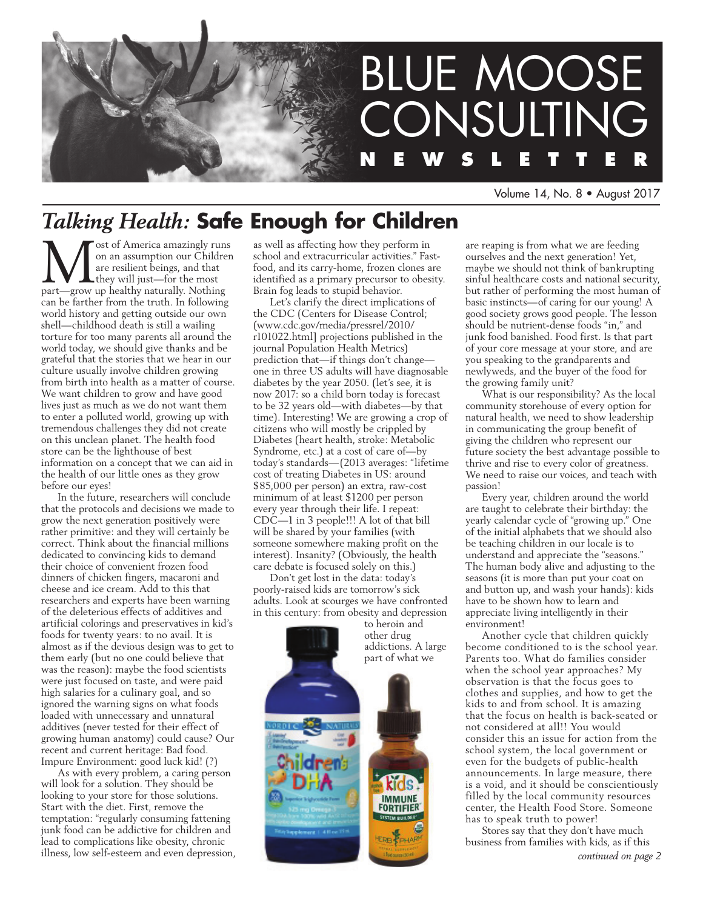

Volume 14, No. 8 • August 2017

# *Talking Health:* **Safe Enough for Children**

**M** ost of America amazingly runs<br>on an assumption our Children<br>are resilient beings, and that<br>they will just—for the most<br>part—grow up healthy naturally. Nothing on an assumption our Children are resilient beings, and that they will just—for the most part—grow up healthy naturally. Nothing can be farther from the truth. In following world history and getting outside our own shell—childhood death is still a wailing torture for too many parents all around the world today, we should give thanks and be grateful that the stories that we hear in our culture usually involve children growing from birth into health as a matter of course. We want children to grow and have good lives just as much as we do not want them to enter a polluted world, growing up with tremendous challenges they did not create on this unclean planet. The health food store can be the lighthouse of best information on a concept that we can aid in the health of our little ones as they grow before our eyes!

In the future, researchers will conclude that the protocols and decisions we made to grow the next generation positively were rather primitive: and they will certainly be correct. Think about the financial millions dedicated to convincing kids to demand their choice of convenient frozen food dinners of chicken fingers, macaroni and cheese and ice cream. Add to this that researchers and experts have been warning of the deleterious effects of additives and artificial colorings and preservatives in kid's foods for twenty years: to no avail. It is almost as if the devious design was to get to them early (but no one could believe that was the reason): maybe the food scientists were just focused on taste, and were paid high salaries for a culinary goal, and so ignored the warning signs on what foods loaded with unnecessary and unnatural additives (never tested for their effect of growing human anatomy) could cause? Our recent and current heritage: Bad food. Impure Environment: good luck kid! (?)

As with every problem, a caring person will look for a solution. They should be looking to your store for those solutions. Start with the diet. First, remove the temptation: "regularly consuming fattening junk food can be addictive for children and lead to complications like obesity, chronic illness, low self-esteem and even depression, as well as affecting how they perform in school and extracurricular activities." Fastfood, and its carry-home, frozen clones are identified as a primary precursor to obesity. Brain fog leads to stupid behavior.

Let's clarify the direct implications of the CDC (Centers for Disease Control; (www.cdc.gov/media/pressrel/2010/ r101022.html] projections published in the journal Population Health Metrics) prediction that—if things don't changeone in three US adults will have diagnosable diabetes by the year 2050. (let's see, it is now 2017: so a child born today is forecast to be 32 years old—with diabetes—by that time). Interesting! We are growing a crop of citizens who will mostly be crippled by Diabetes (heart health, stroke: Metabolic Syndrome, etc.) at a cost of care of—by today's standards—(2013 averages: "lifetime cost of treating Diabetes in US: around \$85,000 per person) an extra, raw-cost minimum of at least \$1200 per person every year through their life. I repeat: CDC—1 in 3 people!!! A lot of that bill will be shared by your families (with someone somewhere making profit on the interest). Insanity? (Obviously, the health care debate is focused solely on this.)

Don't get lost in the data: today's poorly-raised kids are tomorrow's sick adults. Look at scourges we have confronted in this century: from obesity and depression



are reaping is from what we are feeding ourselves and the next generation! Yet, maybe we should not think of bankrupting sinful healthcare costs and national security, but rather of performing the most human of basic instincts—of caring for our young! A good society grows good people. The lesson should be nutrient-dense foods "in," and junk food banished. Food first. Is that part of your core message at your store, and are you speaking to the grandparents and newlyweds, and the buyer of the food for the growing family unit?

What is our responsibility? As the local community storehouse of every option for natural health, we need to show leadership in communicating the group benefit of giving the children who represent our future society the best advantage possible to thrive and rise to every color of greatness. We need to raise our voices, and teach with passion!

Every year, children around the world are taught to celebrate their birthday: the yearly calendar cycle of "growing up." One of the initial alphabets that we should also be teaching children in our locale is to understand and appreciate the "seasons." The human body alive and adjusting to the seasons (it is more than put your coat on and button up, and wash your hands): kids have to be shown how to learn and appreciate living intelligently in their environment!

Another cycle that children quickly become conditioned to is the school year. Parents too. What do families consider when the school year approaches? My observation is that the focus goes to clothes and supplies, and how to get the kids to and from school. It is amazing that the focus on health is back-seated or not considered at all!! You would consider this an issue for action from the school system, the local government or even for the budgets of public-health announcements. In large measure, there is a void, and it should be conscientiously filled by the local community resources center, the Health Food Store. Someone has to speak truth to power!

Stores say that they don't have much business from families with kids, as if this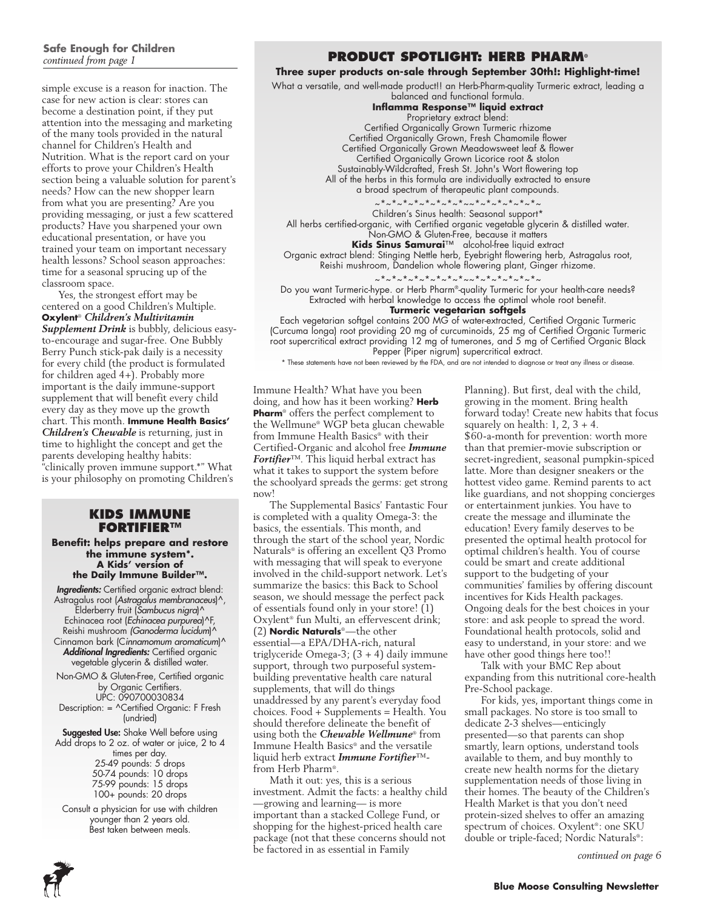# **Safe Enough for Children**

simple excuse is a reason for inaction. The case for new action is clear: stores can become a destination point, if they put attention into the messaging and marketing of the many tools provided in the natural channel for Children's Health and Nutrition. What is the report card on your efforts to prove your Children's Health section being a valuable solution for parent's needs? How can the new shopper learn from what you are presenting? Are you providing messaging, or just a few scattered products? Have you sharpened your own educational presentation, or have you trained your team on important necessary health lessons? School season approaches: time for a seasonal sprucing up of the classroom space.

Yes, the strongest effort may be centered on a good Children's Multiple. **Oxylent**® *Children's Multivitamin Supplement Drink* is bubbly, delicious easyto-encourage and sugar-free. One Bubbly Berry Punch stick-pak daily is a necessity for every child (the product is formulated for children aged 4+). Probably more important is the daily immune-support supplement that will benefit every child every day as they move up the growth chart. This month. **Immune Health Basics'**  *Children's Chewable* is returning, just in time to highlight the concept and get the parents developing healthy habits: "clinically proven immune support.\*" What is your philosophy on promoting Children's

#### **Kids Immune Fortifier™**

**Benefit: helps prepare and restore the immune system\*. A Kids' version of the Daily Immune Builder™.**

*Ingredients:* Certified organic extract blend: Astragalus root (*Astragalus membranaceus*)^, Elderberry fruit (*Sambucus nigra*)^ Echinacea root (*Echinacea purpurea*)^F, Reishi mushroom *(Ganoderma lucidum*)^ Cinnamon bark (C*innamomum aromaticum*)^ *Additional Ingredients:* Certified organic vegetable glycerin & distilled water.

Non-GMO & Gluten-Free, Certified organic by Organic Certifiers. UPC: 090700030834

Description: = ^Certified Organic: F Fresh (undried)

Suggested Use: Shake Well before using Add drops to 2 oz. of water or juice, 2 to 4 times per day. 25-49 pounds: 5 drops 50-74 pounds: 10 drops 75-99 pounds: 15 drops 100+ pounds: 20 drops

Consult a physician for use with children younger than 2 years old. Best taken between meals.

### *continued from page 1* **PRODUCT SPOTLIGHT: HERB PHARM®**

#### **Three super products on-sale through September 30th!: Highlight-time!**

What a versatile, and well-made product!! an Herb-Pharm-quality Turmeric extract, leading a

balanced and functional formula. **Inflamma Response™ liquid extract** Proprietary extract blend: Certified Organically Grown Turmeric rhizome Certified Organically Grown, Fresh Chamomile flower Certified Organically Grown Meadowsweet leaf & flower Certified Organically Grown Licorice root & stolon Sustainably-Wildcrafted, Fresh St. John's Wort flowering top All of the herbs in this formula are individually extracted to ensure a broad spectrum of therapeutic plant compounds. ~\*~\*~\*~\*~\*~\*~~\*~\*~\*~\*~\*~ Children's Sinus health: Seasonal support\* All herbs certified-organic, with Certified organic vegetable glycerin & distilled water.

Non-GMO & Gluten-Free, because it matters **Kids Sinus Samurai**™ alcohol-free liquid extract

Organic extract blend: Stinging Nettle herb, Eyebright flowering herb, Astragalus root, Reishi mushroom, Dandelion whole flowering plant, Ginger rhizome.

~\*~\*~\*~\*~\*~\*~\*~\*~~\*~\*~\*~\*~\*~\*~

Do you want Turmeric-hype. or Herb Pharm®-quality Turmeric for your health-care needs? Extracted with herbal knowledge to access the optimal whole root benefit. **Turmeric vegetarian softgels**

Each vegetarian softgel contains 200 MG of water-extracted, Certified Organic Turmeric (Curcuma longa) root providing 20 mg of curcuminoids, 25 mg of Certified Organic Turmeric root supercritical extract providing 12 mg of tumerones, and 5 mg of Certified Organic Black Pepper (Piper nigrum) supercritical extract.

\* These statements have not been reviewed by the FDA, and are not intended to diagnose or treat any illness or disease.

Immune Health? What have you been doing, and how has it been working? **Herb Pharm**® offers the perfect complement to the Wellmune® WGP beta glucan chewable from Immune Health Basics® with their Certified-Organic and alcohol free *Immune Fortifier*™. This liquid herbal extract has what it takes to support the system before the schoolyard spreads the germs: get strong now!

The Supplemental Basics' Fantastic Four is completed with a quality Omega-3: the basics, the essentials. This month, and through the start of the school year, Nordic Naturals® is offering an excellent Q3 Promo with messaging that will speak to everyone involved in the child-support network. Let's summarize the basics: this Back to School season, we should message the perfect pack of essentials found only in your store! (1) Oxylent® fun Multi, an effervescent drink; (2) **Nordic Naturals**®—the other essential—a EPA/DHA-rich, natural triglyceride Omega-3; (3 + 4) daily immune support, through two purposeful systembuilding preventative health care natural supplements, that will do things unaddressed by any parent's everyday food choices. Food + Supplements = Health. You should therefore delineate the benefit of using both the *Chewable Wellmune*® from Immune Health Basics® and the versatile liquid herb extract *Immune Fortifier*™ from Herb Pharm®.

Math it out: yes, this is a serious investment. Admit the facts: a healthy child —growing and learning— is more important than a stacked College Fund, or shopping for the highest-priced health care package (not that these concerns should not be factored in as essential in Family

Planning). But first, deal with the child, growing in the moment. Bring health forward today! Create new habits that focus squarely on health:  $1, 2, 3 + 4$ . \$60-a-month for prevention: worth more than that premier-movie subscription or secret-ingredient, seasonal pumpkin-spiced latte. More than designer sneakers or the hottest video game. Remind parents to act like guardians, and not shopping concierges or entertainment junkies. You have to create the message and illuminate the education! Every family deserves to be presented the optimal health protocol for optimal children's health. You of course could be smart and create additional support to the budgeting of your communities' families by offering discount incentives for Kids Health packages. Ongoing deals for the best choices in your store: and ask people to spread the word. Foundational health protocols, solid and easy to understand, in your store: and we have other good things here too!!

Talk with your BMC Rep about expanding from this nutritional core-health Pre-School package.

For kids, yes, important things come in small packages. No store is too small to dedicate 2-3 shelves—enticingly presented—so that parents can shop smartly, learn options, understand tools available to them, and buy monthly to create new health norms for the dietary supplementation needs of those living in their homes. The beauty of the Children's Health Market is that you don't need protein-sized shelves to offer an amazing spectrum of choices. Oxylent®: one SKU double or triple-faced; Nordic Naturals®:

*continued on page 6*

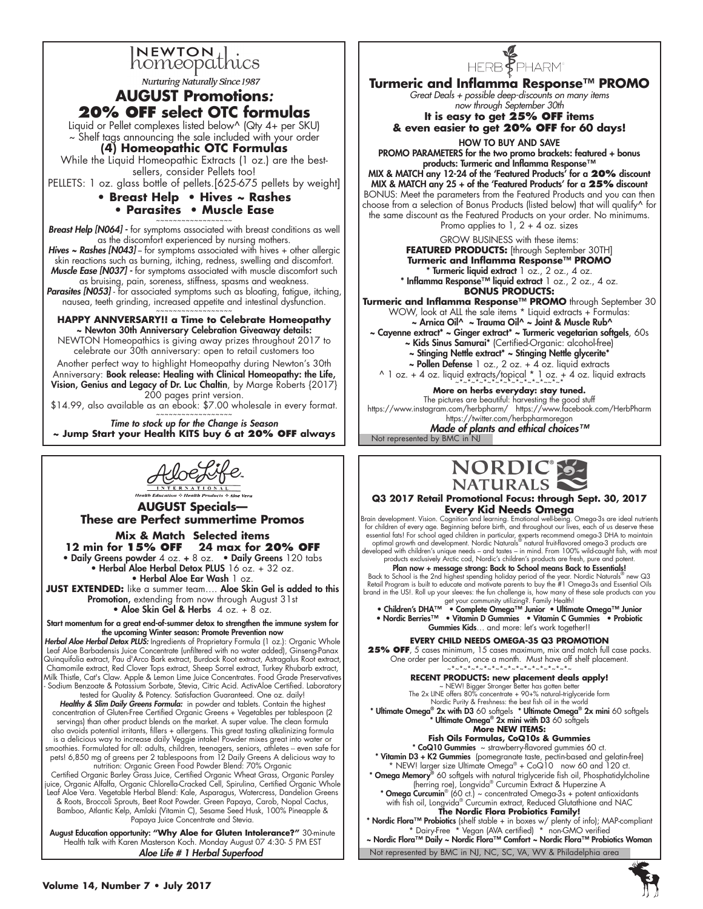

**Nurturing Naturally Since 1987** 

### **AUGUST Promotions***:*  **20% OFF select OTC formulas**

Liquid or Pellet complexes listed below^ (Qty 4+ per SKU)

~ Shelf tags announcing the sale included with your order

**(4) Homeopathic OTC Formulas**

While the Liquid Homeopathic Extracts (1 oz.) are the bestsellers, consider Pellets too!

PELLETS: 1 oz. glass bottle of pellets.[625-675 pellets by weight]

#### **• Breast Help • Hives ~ Rashes • Parasites • Muscle Ease**

~~~~~~~~~~~~~~~~~~ *Breast Help [N064] -* for symptoms associated with breast conditions as well as the discomfort experienced by nursing mothers.

Hives ~ Rashes [N043] - for symptoms associated with hives + other allergic skin reactions such as burning, itching, redness, swelling and discomfort. *Muscle Ease [N037] -* for symptoms associated with muscle discomfort such as bruising, pain, soreness, stiffness, spasms and weakness.

Parasites [N053] - for associated symptoms such as bloating, fatigue, itching, nausea, teeth grinding, increased appetite and intestinal dysfunction.

~~~~~~~~~~~~~~ **HAPPY ANNVERSARY!! a Time to Celebrate Homeopathy** ~ Newton 30th Anniversary Celebration Giveaway details:

NEWTON Homeopathics is giving away prizes throughout 2017 to celebrate our 30th anniversary: open to retail customers too

Another perfect way to highlight Homeopathy during Newton's 30th Anniversary: Book release: Healing with Clinical Homeopathy: the Life, Vision, Genius and Legacy of Dr. Luc Chaltin, by Marge Roberts {2017} 200 pages print version.

\$14.99, also available as an ebook: \$7.00 wholesale in every format. ~~~~~~~~~~~~~~~~~~

*Time to stock up for the Change is Season* **~ Jump Start your Health KITS buy 6 at 20% OFF always**



**AUGUST Specials— These are Perfect summertime Promos Mix & Match Selected items 12 min for 15% off 24 max for 20% off** • Daily Greens powder 4 oz. + 8 oz. • Daily Greens 120 tabs • Herbal Aloe Herbal Detox PLUS 16 oz. + 32 oz. • Herbal Aloe Ear Wash 1 oz.

JUST EXTENDED: like a summer team.... Aloe Skin Gel is added to this Promotion, extending from now through August 31st • Aloe Skin Gel & Herbs 4 oz. + 8 oz.

Start momentum for a great end-of-summer detox to strengthen the immune system for the upcoming Winter season: Promote Prevention now

*Herbal Aloe Herbal Detox PLUS:* Ingredients of Proprietary Formula (1 oz.): Organic Whole Leaf Aloe Barbadensis Juice Concentrate (unfiltered with no water added), Ginseng-Panax Quinquifolia extract, Pau d'Arco Bark extract, Burdock Root extract, Astragalus Root extract, Chamomile extract, Red Clover Tops extract, Sheep Sorrel extract, Turkey Rhubarb extract, Milk Thistle, Cat's Claw. Apple & Lemon Lime Juice Concentrates. Food Grade Preservatives - Sodium Benzoate & Potassium Sorbate, Stevia, Citric Acid. ActivAloe Certified. Laboratory

tested for Quality & Potency. Satisfaction Guaranteed. One oz. daily!<br>**Healthy & Slim Daily Greens Formula:** in powder and tablets. Contain the highest<br>2) concentration of Gluten-Free Certified Organic Greens + Vegetables servings) than other product blends on the market. A super value. The clean formula<br>also avoids potential irritants, fillers + allergens. This great tasting alkalinizing formula<br>is a delicious way to increase daily Veggie smoothies. Formulated for all: adults, children, teenagers, seniors, athletes – even safe for<br>pets! 6,850 mg of greens per 2 tablespoons from 12 Daily Greens A delicious way to<br>nutrition: Organic Green Food Powder Blend: 7

Certified Organic Barley Grass Juice, Certified Organic Wheat Grass, Organic Parsley juice, Organic Alfalfa, Organic Chlorella-Cracked Cell, Spirulina, Certified Organic Whole Leaf Aloe Vera. Vegetable Herbal Blend: Kale, Asparagus, Watercress, Dandelion Greens & Roots, Broccoli Sprouts, Beet Root Powder. Green Papaya, Carob, Nopal Cactus, Bamboo, Atlantic Kelp, Amlaki (Vitamin C), Sesame Seed Husk, 100% Pineapple & Papaya Juice Concentrate and Stevia.

August Education opportunity: **"Why Aloe for Gluten Intolerance?"** 30-minute Health talk with Karen Masterson Koch. Monday August 07 4:30- 5 PM EST *Aloe Life # 1 Herbal Superfood*



**Turmeric and Inflamma Response™ PROMO** *Great Deals + possible deep-discounts on many items now through September 30th* 

### **It is easy to get 25% OFF items & even easier to get 20% OFF for 60 days!**

HOW TO BUY AND SAVE PROMO PARAMETERS for the two promo brackets: featured + bonus products: Turmeric and Inflamma Response™

MIX & MATCH any 12-24 of the 'Featured Products' for a **20%** discount MIX & MATCH any 25 + of the 'Featured Products' for a **25%** discount BONUS: Meet the parameters from the Featured Products and you can then choose from a selection of Bonus Products (listed below) that will qualify^ for the same discount as the Featured Products on your order. No minimums. Promo applies to  $1, 2 + 4$  oz. sizes

GROW BUSINESS with these items: **FEATURED PRODUCTS:** [through September 30TH] **Turmeric and Inflamma Response™ PROMO**  \* Turmeric liquid extract 1 oz., 2 oz., 4 oz. \* Inflamma Response™ liquid extract 1 oz., 2 oz., 4 oz. **BONUS PRODUCTS:** 

**Turmeric and Inflamma Response™ PROMO** through September 30 WOW, look at ALL the sale items \* Liquid extracts + Formulas: ~ Arnica Oil^ ~ Trauma Oil^ ~ Joint & Muscle Rub^ ~ Cayenne extract\* ~ Ginger extract\* ~ Turmeric vegetarian softgels, 60s

~ Kids Sinus Samurai\* (Certified-Organic: alcohol-free) ~ Stinging Nettle extract\* ~ Stinging Nettle glycerite\*

~ Pollen Defense 1 oz., 2 oz. + 4 oz. liquid extracts ^ 1 oz. + 4 oz. liquid extracts/topical \* 1 oz. + 4 oz. liquid extracts  $~^{*}$ 

**More on herbs everyday: stay tuned.**  The pictures are beautiful: harvesting the good stuff https://www.instagram.com/herbpharm/ https://www.facebook.com/HerbPharm https://twitter.com/herbpharmoregon

*Made of plants and ethical choices™*

Not represented by BMC in<sup>\*</sup>NJ



**Q3 2017 Retail Promotional Focus: through Sept. 30, 2017 Every Kid Needs Omega**

Brain development. Vision. Cognition and learning. Emotional well-being. Omega-3s are ideal nutrients<br>for children of every age. Beginning before birth, and throughout our lives, each of us deserve these essential fats! For school aged children in particular, experts recommend omega-3 DHA to maintain<br>optimal growth and development. Nordic Naturals® natural fruit-flavored omega-3 products are<br>developed with children's uniqu

products exclusively Arctic cod, Nordic's children's products are fresh, pure and potent.<br> **Plan now + message strong: Back to School means Back to Essential!**<br>
Back to School is the 2nd highest spending holiday period of

• Nordic Berries™ • Vitamin D Gummies • Vitamin C Gummies • Probiotic Gummies Kids... and more: let's work together!!

**Every Child Needs Omega-3s Q3 Promotion**

**25% off**, 5 cases minimum, 15 cases maximum, mix and match full case packs. One order per location, once a month. Must have off shelf placement. ~\*~\*~\*~\*~\*~\*~\*~\*~\*~\*~\*~\*~\*

**RECENT PRODUCTS: new placement deals apply!**

~ NEW! Bigger Stronger Better has gotten better The 2x LINE offers 80% concentrate + 90+% natural--triglyceride form

Nordic Purity & Freshness: the best fish oil in the world<br>\* **Ultimate Omega® 2x with D3** 60 softgels \* **Ultimate Omega® 2x mini** 60 softgels

\* Ultimate Omega® 2x mini with D3 60 softgels

**More NEW ITEMS: Fish Oils Formulas, CoQ10s & Gummies**

\* CoQ10 Gummies ~ strawberry-flavored gummies 60 ct.

\* Vitamin D3 + K2 Gummies (pomegranate taste, pectin-based and gelatin-free) \* NEW! larger size Ultimate Omega® + CoQ10 now 60 and 120 ct. \* Omega Memory® 60 softgels with natural triglyceride fish oil, Phosphatidylcholine (herring roe), Longvida® Curcumin Extract & Huperzine A \* Omega Curcumin® (60 ct.) ~ concentrated Omega-3s + potent antioxidants

with fish oil, Longvida® Curcumin extract, Reduced Glutathione and NAC **The Nordic Flora Probiotics Family!** 

\* Nordic Flora™ Probiotics (shelf stable + in boxes w/ plenty of info); MAP-compliant \* Dairy-Free \* Vegan (AVA certified) \* non-GMO verified

Not represented by BMC in NJ, NC, SC, VA, WV & Philadelphia area ~ Nordic Flora™ Daily ~ Nordic Flora™ Comfort ~ Nordic Flora™ Probiotics Woman

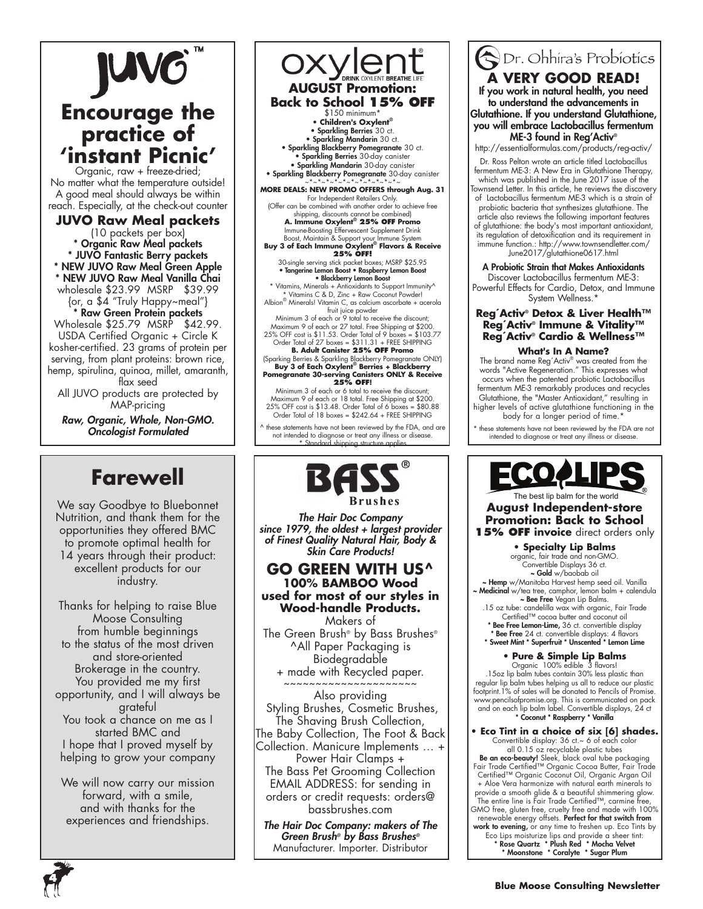### JUVO **Encourage the practice of 'instant Picnic'** Organic, raw + freeze-dried; No matter what the temperature outside! A good meal should always be within reach. Especially, at the check-out counter **JUVO Raw Meal packets** (10 packets per box) \* Organic Raw Meal packets \* JUVO Fantastic Berry packets \* NEW JUVO Raw Meal Green Apple \* NEW JUVO Raw Meal Vanilla Chai wholesale \$23.99 MSRP \$39.99 {or, a \$4 "Truly Happy~meal"} \* Raw Green Protein packets Wholesale \$25.79 MSRP \$42.99. USDA Certified Organic + Circle K kosher-certified. 23 grams of protein per

serving, from plant proteins: brown rice, hemp, spirulina, quinoa, millet, amaranth, flax seed

All JUVO products are protected by MAP-pricing

*Raw, Organic, Whole, Non-GMO. Oncologist Formulated*

# **Farewell**

We say Goodbye to Bluebonnet Nutrition, and thank them for the opportunities they offered BMC to promote optimal health for 14 years through their product: excellent products for our industry.

Thanks for helping to raise Blue Moose Consulting from humble beginnings to the status of the most driven and store-oriented Brokerage in the country. You provided me my first opportunity, and I will always be grateful You took a chance on me as I started BMC and I hope that I proved myself by helping to grow your company

We will now carry our mission forward, with a smile, and with thanks for the experiences and friendships.

OXYLENT BREA **AUGUST Promotion: Back to School 15% OFF** \$150 minimum\* **• Children's Oxylent®** • Sparkling Berries 30 ct. • Sparkling Mandarin 30 ct. • Sparkling Blackberry Pomegranate 30 ct. • Sparkling Berries 30-day canister • Sparkling Mandarin 30-day canister • Sparkling Blackberry Pomegranate 30-day canister ~\*~\*~\*~\*~\*~\*~\*~\*~\*~\*~\*~ **MORE DEALS: NEW PROMO OFFERS through Aug. 31** For Independent Retailers Only. (Offer can be combined with another order to achieve free shipping, discounts cannot be combined) **A. Immune Oxylent® 25% OFF Promo** Immune-Boosting Effervescent Supplement Drink Boost, Maintain & Support your Immune System **Buy 3 of Each Immune Oxylent® Flavors & Receive 25% OFF!** 30-single serving stick packet boxes; MSRP \$25.95 • Tangerine Lemon Boost • Raspberry Lemon Boost

• Blackberry Lemon Boost \* Vitamins, Minerals + Antioxidants to Support Immunity^ \* Vitamins C & D, Zinc + Raw Coconut Powder!

Albion® Minerals! Vitamin C, as calcium ascorbate + acerola fruit juice powder Minimum 3 of each or 9 total to receive the discount;

Maximum 9 of each or 27 total. Free Shipping at \$200. 25% OFF cost is \$11.53. Order Total of 9 boxes = \$103.77 Order Total of 27 boxes = \$311.31 + FREE SHIPPING **B. Adult Canister 25% OFF Promo** 

(Sparking Berries & Sparkling Blackberry Pomegranate ONLY) **Buy 3 of Each Oxylent® Berries + Blackberry Pomegranate 30-serving Canisters ONLY & Receive** 

**25% OFF!** Minimum 3 of each or 6 total to receive the discount; Maximum 9 of each or 18 total. Free Shipping at \$200. 25% OFF cost is \$13.48. Order Total of 6 boxes = \$80.88 Order Total of 18 boxes = \$242.64 + FREE SHIPPING

these statements have not been reviewed by the FDA, and are not intended to diagnose or treat any illness or disease. \* Standard shipping structure applies



*The Hair Doc Company since 1979, the oldest + largest provider of Finest Quality Natural Hair, Body & Skin Care Products!*

#### **GO GREEN WITH US^ 100% BAMBOO Wood used for most of our styles in Wood-handle Products.**  Makers of

The Green Brush® by Bass Brushes® ^All Paper Packaging is Biodegradable + made with Recycled paper.

~~~~~~~~~~~~~~~~~~~~~ Also providing Styling Brushes, Cosmetic Brushes, The Shaving Brush Collection, The Baby Collection, The Foot & Back Collection. Manicure Implements … + Power Hair Clamps +

The Bass Pet Grooming Collection EMAIL ADDRESS: for sending in orders or credit requests: orders@ bassbrushes.com

*The Hair Doc Company: makers of The Green Brush® by Bass Brushes®* Manufacturer. Importer. Distributor

# Dr. Ohhira's Probiotics **A very good read!**

If you work in natural health, you need to understand the advancements in Glutathione. If you understand Glutathione, you will embrace Lactobacillus fermentum ME-3 found in Reg'Activ®

http://essentialformulas.com/products/reg-activ/

Dr. Ross Pelton wrote an article titled Lactobacillus fermentum ME-3: A New Era in Glutathione Therapy, which was published in the June 2017 issue of the Townsend Letter. In this article, he reviews the discovery of Lactobacillus fermentum ME-3 which is a strain of

probiotic bacteria that synthesizes glutathione. The article also reviews the following important features of glutathione: the body's most important antioxidant, its regulation of detoxification and its requirement in immune function.: http://www.townsendletter.com/ June2017/glutathione0617.html

A Probiotic Strain that Makes Antioxidants Discover Lactobacillus fermentum ME-3: Powerful Effects for Cardio, Detox, and Immune

System Wellness.<sup>\*</sup>

#### **Reg´Activ® Detox & Liver Health™ Reg´Activ® Immune & Vitality™ Reg´Activ® Cardio & Wellness™**

#### **What's In A Name?**

The brand name Reg´Activ® was created from the words "Active Regeneration." This expresses what occurs when the patented probiotic Lactobacillus fermentum ME-3 remarkably produces and recycles Glutathione, the "Master Antioxidant," resulting in higher levels of active glutathione functioning in the body for a longer period of time.\*

these statements have not been reviewed by the FDA are not intended to diagnose or treat any illness or disease.



The best lip balm for the world **August Independent-store Promotion: Back to School 15% OFF invoice** direct orders only

**• Specialty Lip Balms**

organic, fair trade and non-GMO.<br>Convertible Displays 36 ct.<br>**~ Gold** w/baobab oil ~ Hemp w/Manitoba Harvest hemp seed oil. Vanilla ~ Medicinal w/tea tree, camphor, lemon balm + calendula ~ Bee Free Vegan Lip Balms. .15 oz tube: candelilla wax with organic, Fair Trade

Certified™ cocoa butter and coconut oil Bee Free Lemon-Lime, 36 ct. convertible display \* Bee Free 24 ct. convertible displays: 4 flavors \* Sweet Mint \* Superfruit \* Unscented \* Lemon Lime

#### **• Pure & Simple Lip Balms**

Organic 100% edible 3 flavors! .15oz lip balm tubes contain 30% less plastic than regular lip balm tubes helping us all to reduce our plastic footprint.1% of sales will be donated to Pencils of Promise. www.pencilsofpromise.org. This is communicated on pack and on each lip balm label. Convertible displays, 24 ct \* Coconut \* Raspberry \* Vanilla

**• Eco Tint in a choice of six [6] shades.** Convertible display: 36 ct.~ 6 of each color all 0.15 oz recyclable plastic tubes **Be an eco-beauty!** Sleek, black oval tube packaging<br>Fair Trade Certified™ Organic Cocoa Butter, Fair Trade Certified™ Organic Coconut Oil, Organic Argan Oil + Aloe Vera harmonize with natural earth minerals to provide a smooth glide & a beautiful shimmering glow. The entire line is Fair Trade Certified™, carmine free, GMO free, gluten free, cruelty free and made with 100% renewable energy offsets. Perfect for that switch from work to evening, or any time to freshen up. Eco Tints by Eco Lips moisturize lips and provide a sheer tint: \* Rose Quartz \* Plush Red \* Mocha Velvet \* Moonstone \* Coralyte \* Sugar Plum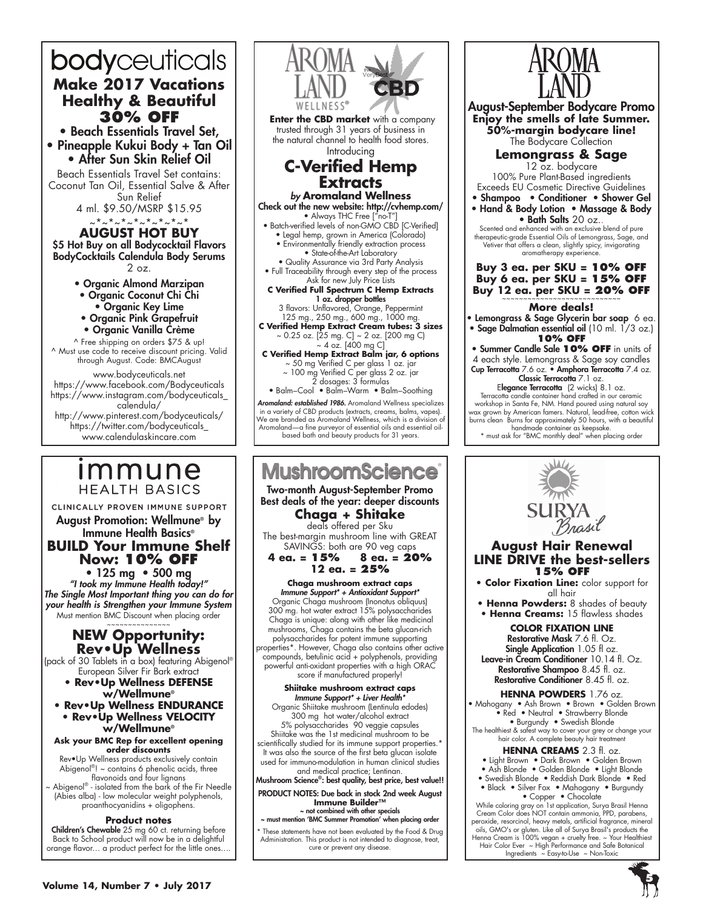# bodyceuticals **Make 2017 Vacations Healthy & Beautiful 30% OFF** • Beach Essentials Travel Set,

• Pineapple Kukui Body + Tan Oil • After Sun Skin Relief Oil

Beach Essentials Travel Set contains: Coconut Tan Oil, Essential Salve & After Sun Relief

4 ml. \$9.50/MSRP \$15.95

~\*~\*~\*~\*~\*~\*~\*~\* **AUGUST hot buy** \$5 Hot Buy on all Bodycocktail Flavors BodyCocktails Calendula Body Serums 2 oz.

• Organic Almond Marzipan

- Organic Coconut Chi Chi
	- Organic Key Lime
- Organic Pink Grapefruit
- Organic Vanilla Crème

^ Free shipping on orders \$75 & up! ^ Must use code to receive discount pricing. Valid through August. Code: BMCAugust

www.bodyceuticals.net https://www.facebook.com/Bodyceuticals https://www.instagram.com/bodyceuticals\_ calendula/ http://www.pinterest.com/bodyceuticals/ https://twitter.com/bodyceuticals\_ www.calendulaskincare.com

# <u>Immune</u> **HEALTH BASICS**

CLINICALLY PROVEN IMMUNE SUPPORT August Promotion: Wellmune® by

Immune Health Basics® **BUILD Your Immune Shelf Now: 10% OFF**

• 125 mg • 500 mg *"I took my Immune Health today!" The Single Most Important thing you can do for your health is Strengthen your Immune System* Must mention BMC Discount when placing order

#### ~~~~~~~~~~~~~~~ **NEW Opportunity: Rev•Up Wellness**

(pack of 30 Tablets in a box) featuring Abigenol® European Silver Fir Bark extract

- **Rev•Up Wellness DEFENSE w/Wellmune®**
- **Rev•Up Wellness ENDURANCE • Rev•Up Wellness VELOCITY w/Wellmune®**

**Ask your BMC Rep for excellent opening order discounts**

Rev•Up Wellness products exclusively contain Abigenol®! ~ contains 6 phenolic acids, three flavonoids and four lignans

Abigenol® - isolated from the bark of the Fir Needle (Abies alba) - low molecular weight polyphenols, proanthocyanidins + oligophens.

#### **Product notes**

**Children's Chewable** 25 mg 60 ct. returning before Back to School product will now be in a delightful orange flavor… a product perfect for the little ones….



in a variety of CBD products (extracts, creams, balms, vapes). We are branded as Aromaland Wellness, which is a division of Aromaland—a fine purveyor of essential oils and essential oil-based bath and beauty products for 31 years.

# **MushroomScience**

Two-month August-September Promo Best deals of the year: deeper discounts **Chaga + Shitake**

deals offered per Sku

The best-margin mushroom line with GREAT SAVINGS: both are 90 veg caps<br>**4 ea. = 15% 8 ea. = 20** 

**4 ea. = 15% 8 ea. = 20% 12 ea. = 25%**

**Chaga mushroom extract caps** *Immune Support\* + Antioxidant Support\** Organic Chaga mushroom (Inonotus obliquus) 300 mg. hot water extract 15% polysaccharides Chaga is unique: along with other like medicinal mushrooms, Chaga contains the beta glucan-rich polysaccharides for potent immune supporting properties\*. However, Chaga also contains other active compounds, betulinic acid + polyphenols, providing powerful anti-oxidant properties with a high ORAC

score if manufactured properly! **Shiitake mushroom extract caps**

*Immune Support\* + Liver Health\** Organic Shiitake mushroom (Lentinula edodes) 300 mg hot water/alcohol extract 5% polysaccharides 90 veggie capsules Shiitake was the 1st medicinal mushroom to be scientifically studied for its immune support properties.\* It was also the source of the first beta glucan isolate

used for immuno-modulation in human clinical studies and medical practice; Lentinan.

Mushroom Science®: best quality, best price, best value!!

PRODUCT NOTES: Due back in stock 2nd week August **Immune Builder™** ~ not combined with other specials

~ must mention 'BMC Summer Promotion' when placing order

These statements have not been evaluated by the Food & Drug Administration. This product is not intended to diagnose, treat, cure or prevent any disease.



August-September Bodycare Promo **Enjoy the smells of late Summer. 50%-margin bodycare line!** The Bodycare Collection **Lemongrass & Sage** 12 oz. bodycare 100% Pure Plant-Based ingredients Exceeds EU Cosmetic Directive Guidelines • Shampoo • Conditioner • Shower Gel • Hand & Body Lotion • Massage & Body • Bath Salts 20 oz. Scented and enhanced with an exclusive blend of pure therapeutic-grade Essential Oils of Lemongrass, Sage, and Vetiver that offers a clean, slightly spicy, invigorating aromatherapy experience **Buy 3 ea. per SKU = 10% OFF**

## **Buy 6 ea. per SKU = 15% OFF Buy 12 ea. per SKU = 20% OFF**

#### **More deals!**

• Lemongrass & Sage Glycerin bar soap  $\,$  6 ea. • Sage Dalmatian essential oil (10 ml. 1/3 oz.) **10% OFF**

• Summer Candle Sale **10% OFF** in units of 4 each style. Lemongrass & Sage soy candles Cup Terracotta 7.6 oz. • Amphora Terracotta 7.4 oz. Classic Terracotta 7.1 oz.

Elegance Terracotta (2 wicks) 8.1 oz. Terracotta candle container hand crafted in our ceramic workshop in Santa Fe, NM. Hand poured using natural soy wax grown by American famers. Natural, lead-free, cotton wick burns clean Burns for approximately 50 hours, with a beautiful handmade container as keepsake.

\* must ask for "BMC monthly deal" when placing order



#### **August Hair Renewal LINE DRIVE the best-sellers 15% OFF**

- **Color Fixation Line:** color support for all hair
- **Henna Powders:** 8 shades of beauty • **Henna Creams:** 15 flawless shades

**Color Fixation Line** Restorative Mask 7.6 fl. Oz. Single Application 1.05 fl oz. Leave-in Cream Conditioner 10.14 fl. Oz.

Restorative Shampoo 8.45 fl. oz. Restorative Conditioner 8.45 fl. oz. **Henna Powders** 1.76 oz.

• Mahogany • Ash Brown • Brown • Golden Brown • Red • Neutral • Strawberry Blonde

• Burgundy • Swedish Blonde The healthiest & safest way to cover your grey or change your hair color. A complete beauty hair treatment

#### **Henna Creams** 2.3 fl. oz.

- Light Brown Dark Brown Golden Brown
- Ash Blonde Golden Blonde Light Blonde
- Swedish Blonde Reddish Dark Blonde Red • Black • Silver Fox • Mahogany • Burgundy

• Copper • Chocolate While coloring gray on 1st application, Surya Brasil Henna Cream Color does NOT contain ammonia, PPD, parabens, peroxide, resorcinol, heavy metals, artificial fragrance, mineral oils, GMO's or gluten. Like all of Surya Brasil's products the Henna Cream is 100% vegan + cruelty free. ~ Your Healthiest Hair Color Ever ~ High Performance and Safe Botanical



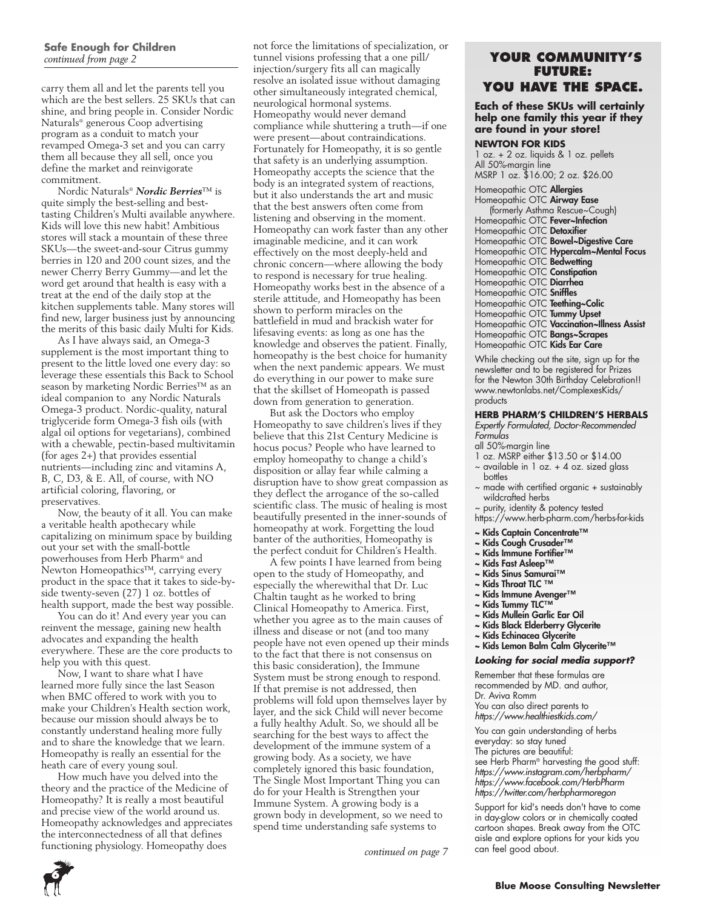# **Safe Enough for Children**

carry them all and let the parents tell you which are the best sellers. 25 SKUs that can shine, and bring people in. Consider Nordic Naturals® generous Coop advertising program as a conduit to match your revamped Omega-3 set and you can carry them all because they all sell, once you define the market and reinvigorate commitment.

Nordic Naturals® *Nordic Berries*™ is quite simply the best-selling and besttasting Children's Multi available anywhere. Kids will love this new habit! Ambitious stores will stack a mountain of these three SKUs—the sweet-and-sour Citrus gummy berries in 120 and 200 count sizes, and the newer Cherry Berry Gummy—and let the word get around that health is easy with a treat at the end of the daily stop at the kitchen supplements table. Many stores will find new, larger business just by announcing the merits of this basic daily Multi for Kids.

As I have always said, an Omega-3 supplement is the most important thing to present to the little loved one every day: so leverage these essentials this Back to School season by marketing Nordic Berries™ as an ideal companion to any Nordic Naturals Omega-3 product. Nordic-quality, natural triglyceride form Omega-3 fish oils (with algal oil options for vegetarians), combined with a chewable, pectin-based multivitamin (for ages 2+) that provides essential nutrients—including zinc and vitamins A, B, C, D3, & E. All, of course, with NO artificial coloring, flavoring, or preservatives.

Now, the beauty of it all. You can make a veritable health apothecary while capitalizing on minimum space by building out your set with the small-bottle powerhouses from Herb Pharm® and Newton Homeopathics™, carrying every product in the space that it takes to side-byside twenty-seven (27) 1 oz. bottles of health support, made the best way possible.

You can do it! And every year you can reinvent the message, gaining new health advocates and expanding the health everywhere. These are the core products to help you with this quest.

Now, I want to share what I have learned more fully since the last Season when BMC offered to work with you to make your Children's Health section work, because our mission should always be to constantly understand healing more fully and to share the knowledge that we learn. Homeopathy is really an essential for the heath care of every young soul.

How much have you delved into the theory and the practice of the Medicine of Homeopathy? It is really a most beautiful and precise view of the world around us. Homeopathy acknowledges and appreciates the interconnectedness of all that defines functioning physiology. Homeopathy does

not force the limitations of specialization, or *continued from page 2* tunnel visions professing that a one pill/**YOUR COMMUNITY'S** injection/surgery fits all can magically resolve an isolated issue without damaging other simultaneously integrated chemical, neurological hormonal systems. Homeopathy would never demand compliance while shuttering a truth—if one were present—about contraindications. Fortunately for Homeopathy, it is so gentle that safety is an underlying assumption. Homeopathy accepts the science that the body is an integrated system of reactions, but it also understands the art and music that the best answers often come from listening and observing in the moment. Homeopathy can work faster than any other imaginable medicine, and it can work effectively on the most deeply-held and chronic concern—where allowing the body to respond is necessary for true healing. Homeopathy works best in the absence of a sterile attitude, and Homeopathy has been shown to perform miracles on the battlefield in mud and brackish water for lifesaving events: as long as one has the knowledge and observes the patient. Finally, homeopathy is the best choice for humanity when the next pandemic appears. We must do everything in our power to make sure that the skillset of Homeopath is passed down from generation to generation.

But ask the Doctors who employ Homeopathy to save children's lives if they believe that this 21st Century Medicine is hocus pocus? People who have learned to employ homeopathy to change a child's disposition or allay fear while calming a disruption have to show great compassion as they deflect the arrogance of the so-called scientific class. The music of healing is most beautifully presented in the inner-sounds of homeopathy at work. Forgetting the loud banter of the authorities, Homeopathy is the perfect conduit for Children's Health.

A few points I have learned from being open to the study of Homeopathy, and especially the wherewithal that Dr. Luc Chaltin taught as he worked to bring Clinical Homeopathy to America. First, whether you agree as to the main causes of illness and disease or not (and too many people have not even opened up their minds to the fact that there is not consensus on this basic consideration), the Immune System must be strong enough to respond. If that premise is not addressed, then problems will fold upon themselves layer by layer, and the sick Child will never become a fully healthy Adult. So, we should all be searching for the best ways to affect the development of the immune system of a growing body. As a society, we have completely ignored this basic foundation, The Single Most Important Thing you can do for your Health is Strengthen your Immune System. A growing body is a grown body in development, so we need to spend time understanding safe systems to

continued on page 7

# **future: you have the space.**

#### **Each of these SKUs will certainly help one family this year if they are found in your store!**

#### **Newton for Kids**

1 oz. + 2 oz. liquids & 1 oz. pellets All 50%-margin line MSRP 1 oz. \$16.00; 2 oz. \$26.00

Homeopathic OTC Allergies Homeopathic OTC Airway Ease (formerly Asthma Rescue~Cough) Homeopathic OTC Fever~Infection Homeopathic OTC **Detoxifier** Homeopathic OTC **Bowel~Digestive Care** Homeopathic OTC Hypercalm~Mental Focus Homeopathic OTC Bedwetting Homeopathic OTC Constipation Homeopathic OTC Diarrhea Homeopathic OTC Sniffles Homeopathic OTC **Teething~Colic** Homeopathic OTC **Tummy Upset** Homeopathic OTC Vaccination~Illness Assist Homeopathic OTC **Bangs~Scrapes** Homeopathic OTC **Kids Ear Care** 

While checking out the site, sign up for the newsletter and to be registered for Prizes for the Newton 30th Birthday Celebration!! www.newtonlabs.net/ComplexesKids/ products

#### **HERB PHARM'S CHILDREN'S HERBALS**

*Expertly Formulated, Doctor-Recommended Formulas* 

- all 50%-margin line
- 1 oz. MSRP either \$13.50 or \$14.00
- $\sim$  available in 1 oz. + 4 oz. sized glass bottles
- $\sim$  made with certified organic  $+$  sustainably wildcrafted herbs
- ~ purity, identity & potency tested
- https://www.herb-pharm.com/herbs-for-kids
- ~ Kids Captain Concentrate™
- ~ Kids Cough Crusader™
- ~ Kids Immune Fortifier™
- ~ Kids Fast Asleep™
- ~ Kids Sinus Samurai™
- ~ Kids Throat TLC ™
- ~ Kids Immune Avenger™
- ~ Kids Tummy TLC™
- ~ Kids Mullein Garlic Ear Oil
- ~ Kids Black Elderberry Glycerite
- ~ Kids Echinacea Glycerite
- ~ Kids Lemon Balm Calm Glycerite™
- 
- *Looking for social media support?*

Remember that these formulas are recommended by MD. and author, Dr. Aviva Romm You can also direct parents to *https://www.healthiestkids.com/*

You can gain understanding of herbs everyday: so stay tuned The pictures are beautiful: see Herb Pharm® harvesting the good stuff: *https://www.instagram.com/herbpharm/ https://www.facebook.com/HerbPharm https://twitter.com/herbpharmoregon* 

Support for kid's needs don't have to come in day-glow colors or in chemically coated cartoon shapes. Break away from the OTC aisle and explore options for your kids you<br>can feel good about.

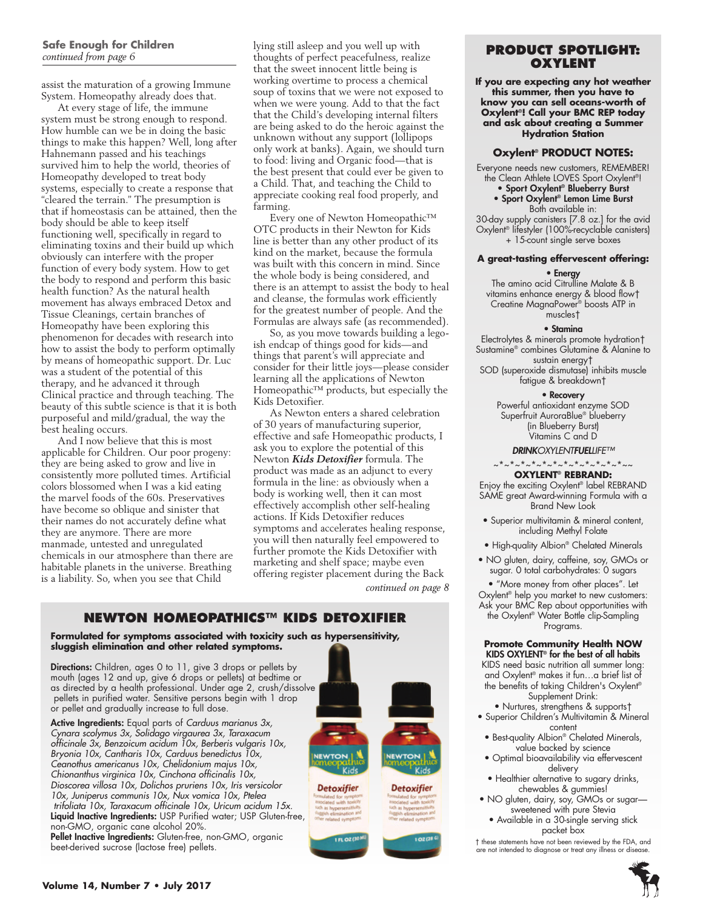#### **Safe Enough for Children**  *continued from page 6*

assist the maturation of a growing Immune System. Homeopathy already does that.

At every stage of life, the immune system must be strong enough to respond. How humble can we be in doing the basic things to make this happen? Well, long after Hahnemann passed and his teachings survived him to help the world, theories of Homeopathy developed to treat body systems, especially to create a response that "cleared the terrain." The presumption is that if homeostasis can be attained, then the body should be able to keep itself functioning well, specifically in regard to eliminating toxins and their build up which obviously can interfere with the proper function of every body system. How to get the body to respond and perform this basic health function? As the natural health movement has always embraced Detox and Tissue Cleanings, certain branches of Homeopathy have been exploring this phenomenon for decades with research into how to assist the body to perform optimally by means of homeopathic support. Dr. Luc was a student of the potential of this therapy, and he advanced it through Clinical practice and through teaching. The beauty of this subtle science is that it is both purposeful and mild/gradual, the way the best healing occurs.

And I now believe that this is most applicable for Children. Our poor progeny: they are being asked to grow and live in consistently more polluted times. Artificial colors blossomed when I was a kid eating the marvel foods of the 60s. Preservatives have become so oblique and sinister that their names do not accurately define what they are anymore. There are more manmade, untested and unregulated chemicals in our atmosphere than there are habitable planets in the universe. Breathing is a liability. So, when you see that Child

lying still asleep and you well up with thoughts of perfect peacefulness, realize that the sweet innocent little being is working overtime to process a chemical soup of toxins that we were not exposed to when we were young. Add to that the fact that the Child's developing internal filters are being asked to do the heroic against the unknown without any support (lollipops only work at banks). Again, we should turn to food: living and Organic food—that is the best present that could ever be given to a Child. That, and teaching the Child to appreciate cooking real food properly, and farming.

Every one of Newton Homeopathic™ OTC products in their Newton for Kids line is better than any other product of its kind on the market, because the formula was built with this concern in mind. Since the whole body is being considered, and there is an attempt to assist the body to heal and cleanse, the formulas work efficiently for the greatest number of people. And the Formulas are always safe (as recommended).

So, as you move towards building a legoish endcap of things good for kids—and things that parent's will appreciate and consider for their little joys—please consider learning all the applications of Newton Homeopathic™ products, but especially the Kids Detoxifier.

As Newton enters a shared celebration of 30 years of manufacturing superior, effective and safe Homeopathic products, I ask you to explore the potential of this Newton *Kids Detoxifier* formula. The product was made as an adjunct to every formula in the line: as obviously when a body is working well, then it can most effectively accomplish other self-healing actions. If Kids Detoxifier reduces symptoms and accelerates healing response, you will then naturally feel empowered to further promote the Kids Detoxifier with marketing and shelf space; maybe even offering register placement during the Back

*continued on page 8*

#### **Newton Homeopathics™ Kids Detoxifier**

**Formulated for symptoms associated with toxicity such as hypersensitivity, sluggish elimination and other related symptoms.** 

Directions: Children, ages 0 to 11, give 3 drops or pellets by mouth (ages 12 and up, give 6 drops or pellets) at bedtime or as directed by a health professional. Under age 2, crush/dissolve pellets in purified water. Sensitive persons begin with 1 drop or pellet and gradually increase to full dose.

Active Ingredients: Equal parts of *Carduus marianus 3x, Cynara scolymus 3x, Solidago virgaurea 3x, Taraxacum officinale 3x, Benzoicum acidum 10x, Berberis vulgaris 10x, Bryonia 10x, Cantharis 10x, Carduus benedictus 10x, Ceanothus americanus 10x, Chelidonium majus 10x, Chionanthus virginica 10x, Cinchona officinalis 10x, Dioscorea villosa 10x, Dolichos pruriens 10x, Iris versicolor 10x, Juniperus communis 10x, Nux vomica 10x, Ptelea trifoliata 10x, Taraxacum officinale 10x, Uricum acidum 15x.*  Liquid Inactive Ingredients: USP Purified water; USP Gluten-free, non-GMO, organic cane alcohol 20%. Pellet Inactive Ingredients: Gluten-free, non-GMO, organic

beet-derived sucrose (lactose free) pellets.



### **PRODUCT SPOTLIGHT: Oxylent**

**If you are expecting any hot weather this summer, then you have to know you can sell oceans-worth of Oxylent®! Call your BMC REP today and ask about creating a Summer Hydration Station**

#### **Oxylent® PRODUCT NOTES:**

Everyone needs new customers, REMEMBER! the Clean Athlete LOVES Sport Oxylent®! • Sport Oxylent® Blueberry Burst

• Sport Oxylent® Lemon Lime Burst Both available in:

30-day supply canisters [7.8 oz.] for the avid Oxylent® lifestyler (100%-recyclable canisters) + 15-count single serve boxes

#### **A great-tasting effervescent offering:**

• Energy

The amino acid Citrulline Malate & B vitamins enhance energy & blood flow† Creatine MagnaPower® boosts ATP in muscles†

#### • Stamina

Electrolytes & minerals promote hydration† Sustamine® combines Glutamine & Alanine to sustain energy†

SOD (superoxide dismutase) inhibits muscle fatigue & breakdown†

#### • Recovery

Powerful antioxidant enzyme SOD Superfruit AuroraBlue<sup>®</sup> blueberry (in Blueberry Burst) Vitamins C and D

#### *DRINKOXYLENTFUELLIFE™*

~\*~\*~\*~\*~\*~\*~\*~\*~\*~\*

#### **Oxylent® Rebrand:**

Enjoy the exciting Oxylent® label REBRAND SAME great Award-winning Formula with a Brand New Look

- Superior multivitamin & mineral content, including Methyl Folate
- High-quality Albion® Chelated Minerals
- NO gluten, dairy, caffeine, soy, GMOs or sugar. 0 total carbohydrates: 0 sugars

• "More money from other places". Let Oxylent® help you market to new customers: Ask your BMC Rep about opportunities with the Oxylent® Water Bottle clip-Sampling Programs.

#### **Promote Community Health NOW** KIDS OXYLENT® for the best of all habits

- KIDS need basic nutrition all summer long: and Oxylent® makes it fun…a brief list of the benefits of taking Children's Oxylent® Supplement Drink:
- Nurtures, strengthens & supports† • Superior Children's Multivitamin & Mineral content
- Best-quality Albion® Chelated Minerals, value backed by science
- Optimal bioavailability via effervescent delivery
- Healthier alternative to sugary drinks, chewables & gummies!
- NO gluten, dairy, soy, GMOs or sugar sweetened with pure Stevia
	- Available in a 30-single serving stick packet box

† these statements have not been reviewed by the FDA, and are not intended to diagnose or treat any illness or disease.